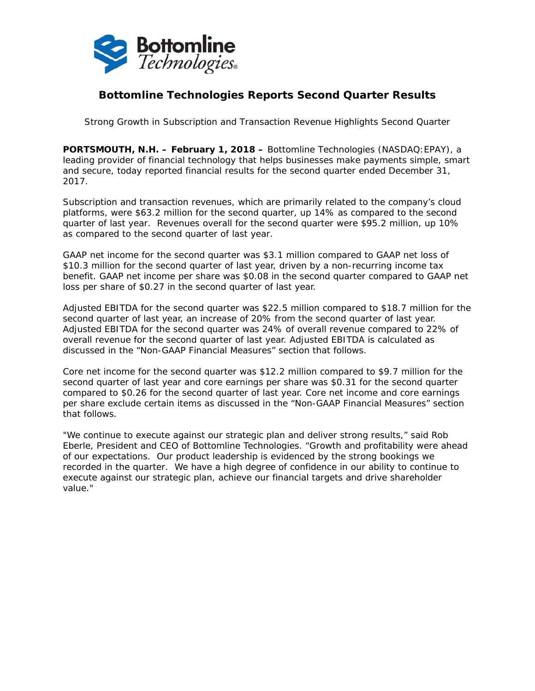

# **Bottomline Technologies Reports Second Quarter Results**

*Strong Growth in Subscription and Transaction Revenue Highlights Second Quarter* 

**PORTSMOUTH, N.H. – February 1, 2018 –** Bottomline Technologies (NASDAQ:EPAY), a leading provider of financial technology that helps businesses make payments simple, smart and secure, today reported financial results for the second quarter ended December 31, 2017.

Subscription and transaction revenues, which are primarily related to the company's cloud platforms, were \$63.2 million for the second quarter, up 14% as compared to the second quarter of last year. Revenues overall for the second quarter were \$95.2 million, up 10% as compared to the second quarter of last year.

GAAP net income for the second quarter was \$3.1 million compared to GAAP net loss of \$10.3 million for the second quarter of last year, driven by a non-recurring income tax benefit. GAAP net income per share was \$0.08 in the second quarter compared to GAAP net loss per share of \$0.27 in the second quarter of last year.

Adjusted EBITDA for the second quarter was \$22.5 million compared to \$18.7 million for the second quarter of last year, an increase of 20% from the second quarter of last year. Adjusted EBITDA for the second quarter was 24% of overall revenue compared to 22% of overall revenue for the second quarter of last year. Adjusted EBITDA is calculated as discussed in the "Non-GAAP Financial Measures" section that follows.

Core net income for the second quarter was \$12.2 million compared to \$9.7 million for the second quarter of last year and core earnings per share was \$0.31 for the second quarter compared to \$0.26 for the second quarter of last year. Core net income and core earnings per share exclude certain items as discussed in the "Non-GAAP Financial Measures" section that follows.

"We continue to execute against our strategic plan and deliver strong results," said Rob Eberle, President and CEO of Bottomline Technologies. "Growth and profitability were ahead of our expectations. Our product leadership is evidenced by the strong bookings we recorded in the quarter. We have a high degree of confidence in our ability to continue to execute against our strategic plan, achieve our financial targets and drive shareholder value."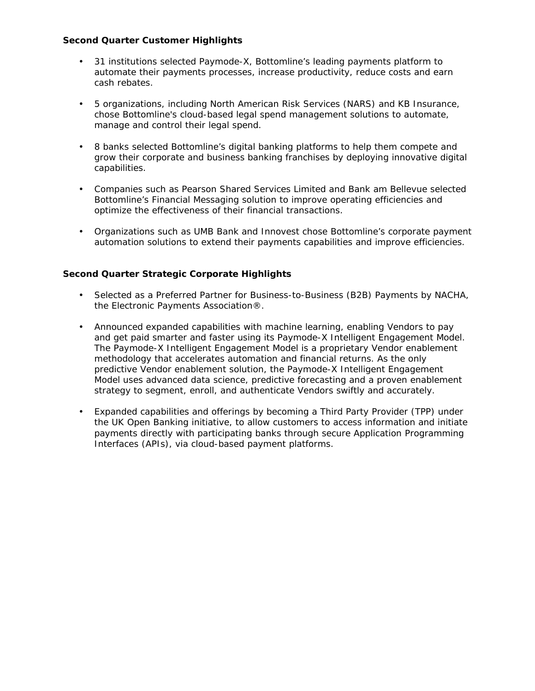# **Second Quarter Customer Highlights**

- 31 institutions selected Paymode-X, Bottomline's leading payments platform to automate their payments processes, increase productivity, reduce costs and earn cash rebates.
- 5 organizations, including North American Risk Services (NARS) and KB Insurance, chose Bottomline's cloud-based legal spend management solutions to automate, manage and control their legal spend.
- 8 banks selected Bottomline's digital banking platforms to help them compete and grow their corporate and business banking franchises by deploying innovative digital capabilities.
- Companies such as Pearson Shared Services Limited and Bank am Bellevue selected Bottomline's Financial Messaging solution to improve operating efficiencies and optimize the effectiveness of their financial transactions.
- Organizations such as UMB Bank and Innovest chose Bottomline's corporate payment automation solutions to extend their payments capabilities and improve efficiencies.

# **Second Quarter Strategic Corporate Highlights**

- Selected as a Preferred Partner for Business-to-Business (B2B) Payments by NACHA, the Electronic Payments Association®.
- Announced expanded capabilities with machine learning, enabling Vendors to pay and get paid smarter and faster using its Paymode-X Intelligent Engagement Model. The Paymode-X Intelligent Engagement Model is a proprietary Vendor enablement methodology that accelerates automation and financial returns. As the only predictive Vendor enablement solution, the Paymode-X Intelligent Engagement Model uses advanced data science, predictive forecasting and a proven enablement strategy to segment, enroll, and authenticate Vendors swiftly and accurately.
- Expanded capabilities and offerings by becoming a Third Party Provider (TPP) under the UK Open Banking initiative, to allow customers to access information and initiate payments directly with participating banks through secure Application Programming Interfaces (APIs), via cloud-based payment platforms.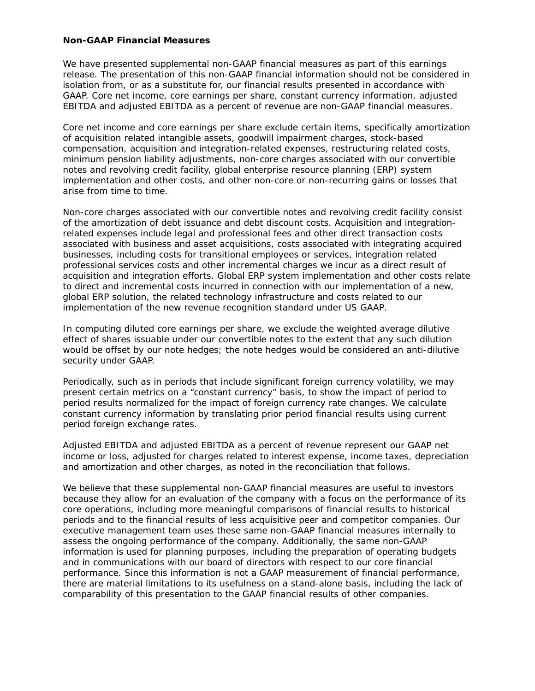### **Non-GAAP Financial Measures**

We have presented supplemental non-GAAP financial measures as part of this earnings release. The presentation of this non-GAAP financial information should not be considered in isolation from, or as a substitute for, our financial results presented in accordance with GAAP. Core net income, core earnings per share, constant currency information, adjusted EBITDA and adjusted EBITDA as a percent of revenue are non-GAAP financial measures.

Core net income and core earnings per share exclude certain items, specifically amortization of acquisition related intangible assets, goodwill impairment charges, stock-based compensation, acquisition and integration-related expenses, restructuring related costs, minimum pension liability adjustments, non-core charges associated with our convertible notes and revolving credit facility, global enterprise resource planning (ERP) system implementation and other costs, and other non-core or non-recurring gains or losses that arise from time to time.

Non-core charges associated with our convertible notes and revolving credit facility consist of the amortization of debt issuance and debt discount costs. Acquisition and integrationrelated expenses include legal and professional fees and other direct transaction costs associated with business and asset acquisitions, costs associated with integrating acquired businesses, including costs for transitional employees or services, integration related professional services costs and other incremental charges we incur as a direct result of acquisition and integration efforts. Global ERP system implementation and other costs relate to direct and incremental costs incurred in connection with our implementation of a new, global ERP solution, the related technology infrastructure and costs related to our implementation of the new revenue recognition standard under US GAAP.

In computing diluted core earnings per share, we exclude the weighted average dilutive effect of shares issuable under our convertible notes to the extent that any such dilution would be offset by our note hedges; the note hedges would be considered an anti-dilutive security under GAAP.

Periodically, such as in periods that include significant foreign currency volatility, we may present certain metrics on a "constant currency" basis, to show the impact of period to period results normalized for the impact of foreign currency rate changes. We calculate constant currency information by translating prior period financial results using current period foreign exchange rates.

Adjusted EBITDA and adjusted EBITDA as a percent of revenue represent our GAAP net income or loss, adjusted for charges related to interest expense, income taxes, depreciation and amortization and other charges, as noted in the reconciliation that follows.

We believe that these supplemental non-GAAP financial measures are useful to investors because they allow for an evaluation of the company with a focus on the performance of its core operations, including more meaningful comparisons of financial results to historical periods and to the financial results of less acquisitive peer and competitor companies. Our executive management team uses these same non-GAAP financial measures internally to assess the ongoing performance of the company. Additionally, the same non-GAAP information is used for planning purposes, including the preparation of operating budgets and in communications with our board of directors with respect to our core financial performance. Since this information is not a GAAP measurement of financial performance, there are material limitations to its usefulness on a stand-alone basis, including the lack of comparability of this presentation to the GAAP financial results of other companies.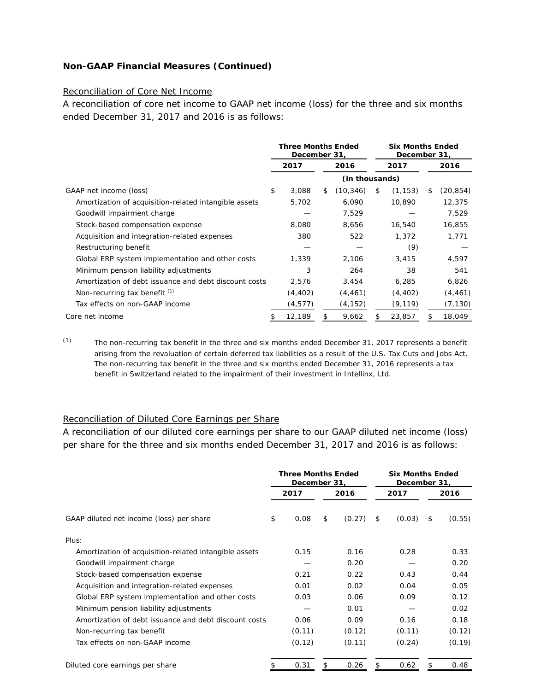## **Non-GAAP Financial Measures (Continued)**

## Reconciliation of Core Net Income

A reconciliation of core net income to GAAP net income (loss) for the three and six months ended December 31, 2017 and 2016 is as follows:

|                                                       | <b>Three Months Ended</b><br>December 31, |              |                |           |      | <b>Six Months Ended</b><br>December 31, |    |           |
|-------------------------------------------------------|-------------------------------------------|--------------|----------------|-----------|------|-----------------------------------------|----|-----------|
|                                                       |                                           | 2016<br>2017 |                |           | 2017 |                                         |    | 2016      |
|                                                       |                                           |              | (in thousands) |           |      |                                         |    |           |
| GAAP net income (loss)                                | \$                                        | 3,088        | \$             | (10, 346) | \$   | (1, 153)                                | S. | (20, 854) |
| Amortization of acquisition-related intangible assets |                                           | 5,702        |                | 6,090     |      | 10,890                                  |    | 12,375    |
| Goodwill impairment charge                            |                                           |              |                | 7,529     |      |                                         |    | 7,529     |
| Stock-based compensation expense                      |                                           | 8,080        |                | 8,656     |      | 16,540                                  |    | 16,855    |
| Acquisition and integration-related expenses          |                                           | 380          |                | 522       |      | 1,372                                   |    | 1,771     |
| Restructuring benefit                                 |                                           |              |                |           |      | (9)                                     |    |           |
| Global ERP system implementation and other costs      |                                           | 1,339        |                | 2,106     |      | 3,415                                   |    | 4,597     |
| Minimum pension liability adjustments                 |                                           | 3            |                | 264       |      | 38                                      |    | 541       |
| Amortization of debt issuance and debt discount costs |                                           | 2,576        |                | 3,454     |      | 6,285                                   |    | 6,826     |
| Non-recurring tax benefit (1)                         |                                           | (4, 402)     |                | (4, 461)  |      | (4, 402)                                |    | (4, 461)  |
| Tax effects on non-GAAP income                        |                                           | (4, 577)     |                | (4, 152)  |      | (9, 119)                                |    | (7, 130)  |
| Core net income                                       |                                           | 12,189       |                | 9,662     |      | 23,857                                  |    | 18,049    |

(1) The non-recurring tax benefit in the three and six months ended December 31, 2017 represents a benefit arising from the revaluation of certain deferred tax liabilities as a result of the U.S. Tax Cuts and Jobs Act. The non-recurring tax benefit in the three and six months ended December 31, 2016 represents a tax benefit in Switzerland related to the impairment of their investment in Intellinx, Ltd.

### Reconciliation of Diluted Core Earnings per Share

A reconciliation of our diluted core earnings per share to our GAAP diluted net income (loss) per share for the three and six months ended December 31, 2017 and 2016 is as follows:

|                                                       | <b>Three Months Ended</b><br>December 31, |      |        | <b>Six Months Ended</b><br>December 31, |        |    |        |  |
|-------------------------------------------------------|-------------------------------------------|------|--------|-----------------------------------------|--------|----|--------|--|
|                                                       | 2017                                      | 2016 |        | 2017                                    |        |    | 2016   |  |
| GAAP diluted net income (loss) per share              | \$<br>0.08                                | \$   | (0.27) | \$                                      | (0.03) | \$ | (0.55) |  |
| Plus:                                                 |                                           |      |        |                                         |        |    |        |  |
| Amortization of acquisition-related intangible assets | 0.15                                      |      | 0.16   |                                         | 0.28   |    | 0.33   |  |
| Goodwill impairment charge                            |                                           |      | 0.20   |                                         |        |    | 0.20   |  |
| Stock-based compensation expense                      | 0.21                                      |      | 0.22   |                                         | 0.43   |    | 0.44   |  |
| Acquisition and integration-related expenses          | 0.01                                      |      | 0.02   |                                         | 0.04   |    | 0.05   |  |
| Global ERP system implementation and other costs      | 0.03                                      |      | 0.06   |                                         | 0.09   |    | 0.12   |  |
| Minimum pension liability adjustments                 |                                           |      | 0.01   |                                         |        |    | 0.02   |  |
| Amortization of debt issuance and debt discount costs | 0.06                                      |      | 0.09   |                                         | 0.16   |    | 0.18   |  |
| Non-recurring tax benefit                             | (0.11)                                    |      | (0.12) |                                         | (0.11) |    | (0.12) |  |
| Tax effects on non-GAAP income                        | (0.12)                                    |      | (0.11) |                                         | (0.24) |    | (0.19) |  |
| Diluted core earnings per share                       | 0.31                                      | \$   | 0.26   | S                                       | 0.62   | S  | 0.48   |  |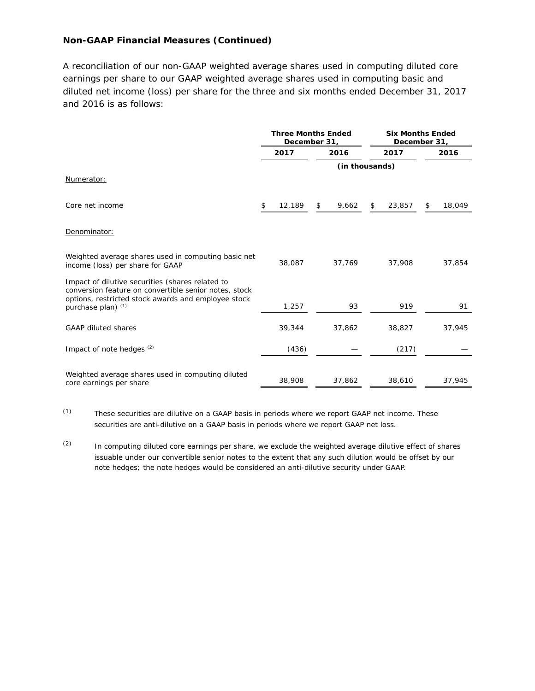# **Non-GAAP Financial Measures (Continued)**

A reconciliation of our non-GAAP weighted average shares used in computing diluted core earnings per share to our GAAP weighted average shares used in computing basic and diluted net income (loss) per share for the three and six months ended December 31, 2017 and 2016 is as follows:

|                                                                                                                                                                  | <b>Three Months Ended</b><br>December 31, |        |      |        |                | <b>Six Months Ended</b><br>December 31, |    |        |
|------------------------------------------------------------------------------------------------------------------------------------------------------------------|-------------------------------------------|--------|------|--------|----------------|-----------------------------------------|----|--------|
|                                                                                                                                                                  | 2017                                      |        | 2016 |        | 2017           |                                         |    | 2016   |
|                                                                                                                                                                  |                                           |        |      |        | (in thousands) |                                         |    |        |
| Numerator:                                                                                                                                                       |                                           |        |      |        |                |                                         |    |        |
| Core net income                                                                                                                                                  | \$                                        | 12,189 | \$   | 9,662  | \$             | 23,857                                  | \$ | 18,049 |
| Denominator:                                                                                                                                                     |                                           |        |      |        |                |                                         |    |        |
| Weighted average shares used in computing basic net<br>income (loss) per share for GAAP                                                                          |                                           | 38,087 |      | 37,769 |                | 37,908                                  |    | 37,854 |
| Impact of dilutive securities (shares related to<br>conversion feature on convertible senior notes, stock<br>options, restricted stock awards and employee stock |                                           |        |      |        |                |                                         |    |        |
| purchase plan) (1)                                                                                                                                               |                                           | 1,257  |      | 93     |                | 919                                     |    | 91     |
| <b>GAAP diluted shares</b>                                                                                                                                       |                                           | 39,344 |      | 37,862 |                | 38,827                                  |    | 37,945 |
| Impact of note hedges (2)                                                                                                                                        |                                           | (436)  |      |        |                | (217)                                   |    |        |
| Weighted average shares used in computing diluted<br>core earnings per share                                                                                     |                                           | 38,908 |      | 37,862 |                | 38,610                                  |    | 37,945 |

- $(1)$  These securities are dilutive on a GAAP basis in periods where we report GAAP net income. These securities are anti-dilutive on a GAAP basis in periods where we report GAAP net loss.
- (2) In computing diluted core earnings per share, we exclude the weighted average dilutive effect of shares issuable under our convertible senior notes to the extent that any such dilution would be offset by our note hedges; the note hedges would be considered an anti-dilutive security under GAAP.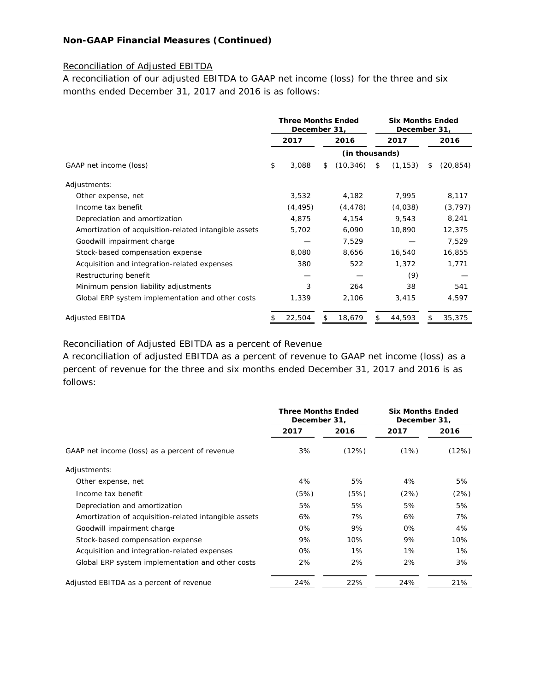# **Non-GAAP Financial Measures (Continued)**

## Reconciliation of Adjusted EBITDA

A reconciliation of our adjusted EBITDA to GAAP net income (loss) for the three and six months ended December 31, 2017 and 2016 is as follows:

|                                                       | <b>Three Months Ended</b><br>December 31, |          |      |                | <b>Six Months Ended</b><br>December 31, |          |     |           |
|-------------------------------------------------------|-------------------------------------------|----------|------|----------------|-----------------------------------------|----------|-----|-----------|
|                                                       |                                           | 2017     | 2016 |                | 2017                                    |          |     | 2016      |
|                                                       |                                           |          |      | (in thousands) |                                         |          |     |           |
| GAAP net income (loss)                                | \$                                        | 3,088    | \$   | (10, 346)      | \$                                      | (1, 153) | S.  | (20, 854) |
| Adjustments:                                          |                                           |          |      |                |                                         |          |     |           |
| Other expense, net                                    |                                           | 3,532    |      | 4,182          |                                         | 7,995    |     | 8,117     |
| Income tax benefit                                    |                                           | (4, 495) |      | (4, 478)       |                                         | (4,038)  |     | (3, 797)  |
| Depreciation and amortization                         |                                           | 4,875    |      | 4,154          |                                         | 9,543    |     | 8,241     |
| Amortization of acquisition-related intangible assets |                                           | 5,702    |      | 6,090          |                                         | 10,890   |     | 12,375    |
| Goodwill impairment charge                            |                                           |          |      | 7,529          |                                         |          |     | 7,529     |
| Stock-based compensation expense                      |                                           | 8,080    |      | 8,656          |                                         | 16,540   |     | 16,855    |
| Acquisition and integration-related expenses          |                                           | 380      |      | 522            |                                         | 1,372    |     | 1,771     |
| Restructuring benefit                                 |                                           |          |      |                |                                         | (9)      |     |           |
| Minimum pension liability adjustments                 |                                           | 3        |      | 264            |                                         | 38       |     | 541       |
| Global ERP system implementation and other costs      |                                           | 1,339    |      | 2,106          |                                         | 3,415    |     | 4,597     |
| <b>Adjusted EBITDA</b>                                |                                           | 22,504   |      | 18,679         |                                         | 44,593   | \$. | 35,375    |

## Reconciliation of Adjusted EBITDA as a percent of Revenue

A reconciliation of adjusted EBITDA as a percent of revenue to GAAP net income (loss) as a percent of revenue for the three and six months ended December 31, 2017 and 2016 is as follows:

|                                                       | <b>Three Months Ended</b><br>December 31, |       | <b>Six Months Ended</b><br>December 31, |       |
|-------------------------------------------------------|-------------------------------------------|-------|-----------------------------------------|-------|
|                                                       | 2017                                      | 2016  | 2017                                    | 2016  |
| GAAP net income (loss) as a percent of revenue        | 3%                                        | (12%) | (1%)                                    | (12%) |
| Adjustments:                                          |                                           |       |                                         |       |
| Other expense, net                                    | 4%                                        | 5%    | 4%                                      | 5%    |
| Income tax benefit                                    | (5%)                                      | (5%)  | (2%)                                    | (2%)  |
| Depreciation and amortization                         | 5%                                        | 5%    | 5%                                      | 5%    |
| Amortization of acquisition-related intangible assets | 6%                                        | 7%    | 6%                                      | 7%    |
| Goodwill impairment charge                            | 0%                                        | 9%    | 0%                                      | 4%    |
| Stock-based compensation expense                      | 9%                                        | 10%   | 9%                                      | 10%   |
| Acquisition and integration-related expenses          | 0%                                        | $1\%$ | $1\%$                                   | 1%    |
| Global ERP system implementation and other costs      | 2%                                        | 2%    | 2%                                      | 3%    |
| Adjusted EBITDA as a percent of revenue               | 24%                                       | 22%   | 24%                                     | 21%   |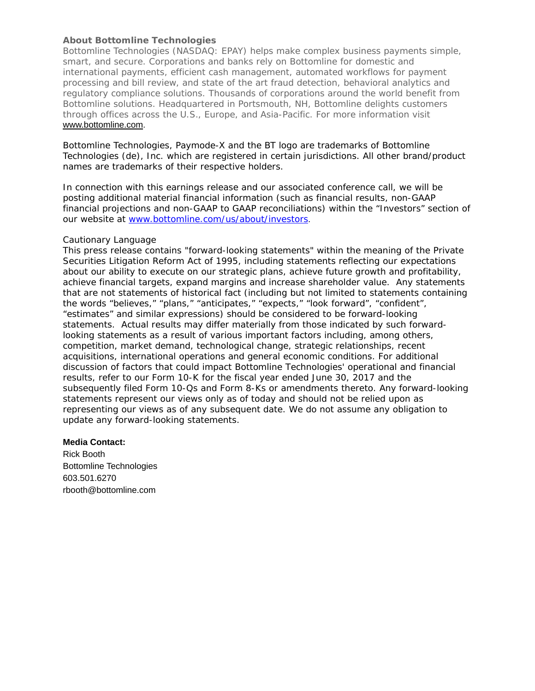# **About Bottomline Technologies**

Bottomline Technologies (NASDAQ: EPAY) helps make complex business payments simple, smart, and secure. Corporations and banks rely on Bottomline for domestic and international payments, efficient cash management, automated workflows for payment processing and bill review, and state of the art fraud detection, behavioral analytics and regulatory compliance solutions. Thousands of corporations around the world benefit from Bottomline solutions. Headquartered in Portsmouth, NH, Bottomline delights customers through offices across the U.S., Europe, and Asia-Pacific. For more information visit www.bottomline.com.

Bottomline Technologies, Paymode-X and the BT logo are trademarks of Bottomline Technologies (de), Inc. which are registered in certain jurisdictions. All other brand/product names are trademarks of their respective holders.

In connection with this earnings release and our associated conference call, we will be posting additional material financial information (such as financial results, non-GAAP financial projections and non-GAAP to GAAP reconciliations) within the "Investors" section of our website at www.bottomline.com/us/about/investors.

### *Cautionary Language*

*This press release contains "forward-looking statements" within the meaning of the Private Securities Litigation Reform Act of 1995, including statements reflecting our expectations about our ability to execute on our strategic plans, achieve future growth and profitability, achieve financial targets, expand margins and increase shareholder value. Any statements that are not statements of historical fact (including but not limited to statements containing the words "believes," "plans," "anticipates," "expects," "look forward", "confident", "estimates" and similar expressions) should be considered to be forward-looking statements. Actual results may differ materially from those indicated by such forwardlooking statements as a result of various important factors including, among others, competition, market demand, technological change, strategic relationships, recent acquisitions, international operations and general economic conditions. For additional discussion of factors that could impact Bottomline Technologies' operational and financial results, refer to our Form 10-K for the fiscal year ended June 30, 2017 and the subsequently filed Form 10-Qs and Form 8-Ks or amendments thereto. Any forward-looking statements represent our views only as of today and should not be relied upon as representing our views as of any subsequent date. We do not assume any obligation to update any forward-looking statements.* 

### **Media Contact:**

Rick Booth Bottomline Technologies 603.501.6270 rbooth@bottomline.com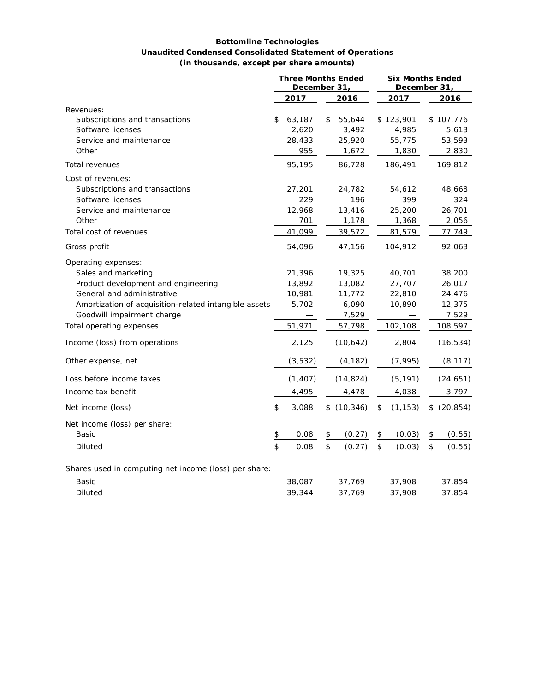### **Bottomline Technologies Unaudited Condensed Consolidated Statement of Operations (in thousands, except per share amounts)**

|                                                       | <b>Three Months Ended</b><br>December 31 |          |    |             | <b>Six Months Ended</b><br>December 31 |           |    |             |
|-------------------------------------------------------|------------------------------------------|----------|----|-------------|----------------------------------------|-----------|----|-------------|
|                                                       |                                          | 2017     |    | 2016        |                                        | 2017      |    | 2016        |
| Revenues:<br>Subscriptions and transactions           | \$                                       | 63,187   | \$ | 55,644      |                                        | \$123,901 |    | \$107,776   |
| Software licenses                                     |                                          | 2,620    |    | 3,492       |                                        | 4,985     |    | 5,613       |
| Service and maintenance                               |                                          | 28,433   |    | 25,920      |                                        | 55,775    |    | 53,593      |
| Other                                                 |                                          | 955      |    | 1,672       |                                        | 1,830     |    | 2,830       |
| <b>Total revenues</b>                                 |                                          | 95,195   |    | 86,728      |                                        | 186,491   |    | 169,812     |
| Cost of revenues:                                     |                                          |          |    |             |                                        |           |    |             |
| Subscriptions and transactions                        |                                          | 27,201   |    | 24,782      |                                        | 54,612    |    | 48,668      |
| Software licenses                                     |                                          | 229      |    | 196         |                                        | 399       |    | 324         |
| Service and maintenance                               |                                          | 12,968   |    | 13,416      |                                        | 25,200    |    | 26,701      |
| Other                                                 |                                          | 701      |    | 1,178       |                                        | 1,368     |    | 2,056       |
| Total cost of revenues                                |                                          | 41,099   |    | 39,572      |                                        | 81,579    |    | 77,749      |
| Gross profit                                          |                                          | 54,096   |    | 47,156      |                                        | 104,912   |    | 92,063      |
| Operating expenses:                                   |                                          |          |    |             |                                        |           |    |             |
| Sales and marketing                                   |                                          | 21,396   |    | 19,325      |                                        | 40,701    |    | 38,200      |
| Product development and engineering                   |                                          | 13,892   |    | 13,082      |                                        | 27,707    |    | 26,017      |
| General and administrative                            |                                          | 10,981   |    | 11,772      |                                        | 22,810    |    | 24,476      |
| Amortization of acquisition-related intangible assets |                                          | 5,702    |    | 6,090       |                                        | 10,890    |    | 12,375      |
| Goodwill impairment charge                            |                                          |          |    | 7,529       |                                        |           |    | 7,529       |
| Total operating expenses                              |                                          | 51,971   |    | 57,798      |                                        | 102,108   |    | 108,597     |
| Income (loss) from operations                         |                                          | 2,125    |    | (10, 642)   |                                        | 2,804     |    | (16, 534)   |
| Other expense, net                                    |                                          | (3, 532) |    | (4, 182)    |                                        | (7,995)   |    | (8, 117)    |
| Loss before income taxes                              |                                          | (1, 407) |    | (14, 824)   |                                        | (5, 191)  |    | (24, 651)   |
| Income tax benefit                                    |                                          | 4,495    |    | 4,478       |                                        | 4,038     |    | 3,797       |
| Net income (loss)                                     | \$                                       | 3,088    |    | \$(10, 346) | \$                                     | (1, 153)  |    | \$(20, 854) |
| Net income (loss) per share:                          |                                          |          |    |             |                                        |           |    |             |
| Basic                                                 | \$                                       | 0.08     | \$ | (0.27)      | \$                                     | (0.03)    | \$ | (0.55)      |
| Diluted                                               | \$                                       | 0.08     | \$ | (0.27)      | \$                                     | (0.03)    | \$ | (0.55)      |
| Shares used in computing net income (loss) per share: |                                          |          |    |             |                                        |           |    |             |
| Basic                                                 |                                          | 38,087   |    | 37,769      |                                        | 37,908    |    | 37,854      |
| <b>Diluted</b>                                        |                                          | 39,344   |    | 37,769      |                                        | 37,908    |    | 37,854      |